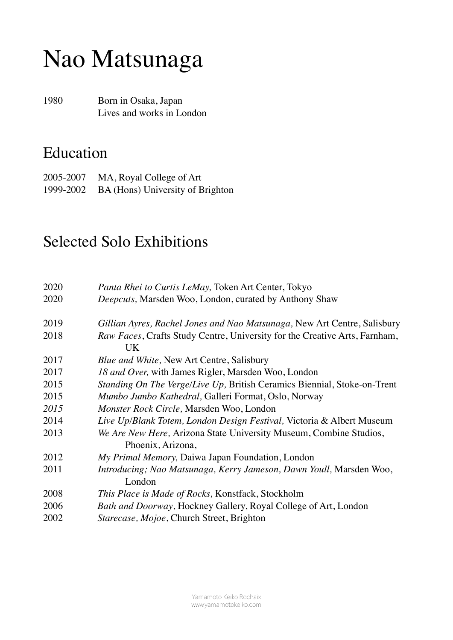# Nao Matsunaga

1980 Born in Osaka, Japan Lives and works in London

#### Education

2005-2007 MA, Royal College of Art 1999-2002 BA (Hons) University of Brighton

#### Selected Solo Exhibitions

| 2020 | Panta Rhei to Curtis LeMay, Token Art Center, Tokyo                        |
|------|----------------------------------------------------------------------------|
| 2020 | Deepcuts, Marsden Woo, London, curated by Anthony Shaw                     |
| 2019 | Gillian Ayres, Rachel Jones and Nao Matsunaga, New Art Centre, Salisbury   |
| 2018 | Raw Faces, Crafts Study Centre, University for the Creative Arts, Farnham, |
|      | UK                                                                         |
| 2017 | Blue and White, New Art Centre, Salisbury                                  |
| 2017 | 18 and Over, with James Rigler, Marsden Woo, London                        |
| 2015 | Standing On The Verge/Live Up, British Ceramics Biennial, Stoke-on-Trent   |
| 2015 | Mumbo Jumbo Kathedral, Galleri Format, Oslo, Norway                        |
| 2015 | Monster Rock Circle, Marsden Woo, London                                   |
| 2014 | Live Up/Blank Totem, London Design Festival, Victoria & Albert Museum      |
| 2013 | We Are New Here, Arizona State University Museum, Combine Studios,         |
|      | Phoenix, Arizona,                                                          |
| 2012 | My Primal Memory, Daiwa Japan Foundation, London                           |
| 2011 | Introducing; Nao Matsunaga, Kerry Jameson, Dawn Youll, Marsden Woo,        |
|      | London                                                                     |
| 2008 | This Place is Made of Rocks, Konstfack, Stockholm                          |
| 2006 | Bath and Doorway, Hockney Gallery, Royal College of Art, London            |
| 2002 | Starecase, Mojoe, Church Street, Brighton                                  |
|      |                                                                            |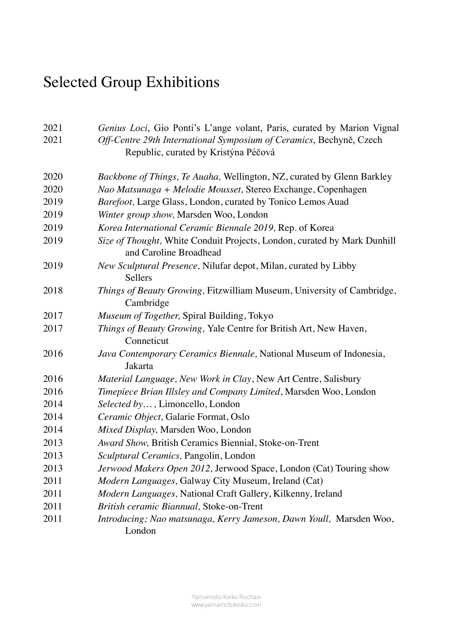## Selected Group Exhibitions

| 2021 | Genius Loci, Gio Ponti's L'ange volant, Paris, curated by Marion Vignal                                     |
|------|-------------------------------------------------------------------------------------------------------------|
| 2021 | Off-Centre 29th International Symposium of Ceramics, Bechyně, Czech<br>Republic, curated by Kristýna Péčová |
| 2020 | Backbone of Things, Te Auaha, Wellington, NZ, curated by Glenn Barkley                                      |
| 2020 | Nao Matsunaga + Melodie Mousset, Stereo Exchange, Copenhagen                                                |
| 2019 | Barefoot, Large Glass, London, curated by Tonico Lemos Auad                                                 |
| 2019 | Winter group show, Marsden Woo, London                                                                      |
| 2019 | Korea International Ceramic Biennale 2019, Rep. of Korea                                                    |
| 2019 | Size of Thought, White Conduit Projects, London, curated by Mark Dunhill<br>and Caroline Broadhead          |
| 2019 | New Sculptural Presence, Nilufar depot, Milan, curated by Libby<br><b>Sellers</b>                           |
| 2018 | Things of Beauty Growing, Fitzwilliam Museum, University of Cambridge,<br>Cambridge                         |
| 2017 | Museum of Together, Spiral Building, Tokyo                                                                  |
| 2017 | Things of Beauty Growing, Yale Centre for British Art, New Haven,<br>Conneticut                             |
| 2016 | Java Contemporary Ceramics Biennale, National Museum of Indonesia,<br>Jakarta                               |
| 2016 | Material Language, New Work in Clay, New Art Centre, Salisbury                                              |
| 2016 | Timepiece Brian Illsley and Company Limited, Marsden Woo, London                                            |
| 2014 | Selected by, Limoncello, London                                                                             |
| 2014 | Ceramic Object, Galarie Format, Oslo                                                                        |
| 2014 | Mixed Display, Marsden Woo, London                                                                          |
| 2013 | Award Show, British Ceramics Biennial, Stoke-on-Trent                                                       |
| 2013 | Sculptural Ceramics, Pangolin, London                                                                       |
| 2013 | Jerwood Makers Open 2012, Jerwood Space, London (Cat) Touring show                                          |
| 2011 | Modern Languages, Galway City Museum, Ireland (Cat)                                                         |
| 2011 | Modern Languages, National Craft Gallery, Kilkenny, Ireland                                                 |
| 2011 | British ceramic Biannual, Stoke-on-Trent                                                                    |
| 2011 | Introducing; Nao matsunaga, Kerry Jameson, Dawn Youll, Marsden Woo,<br>London                               |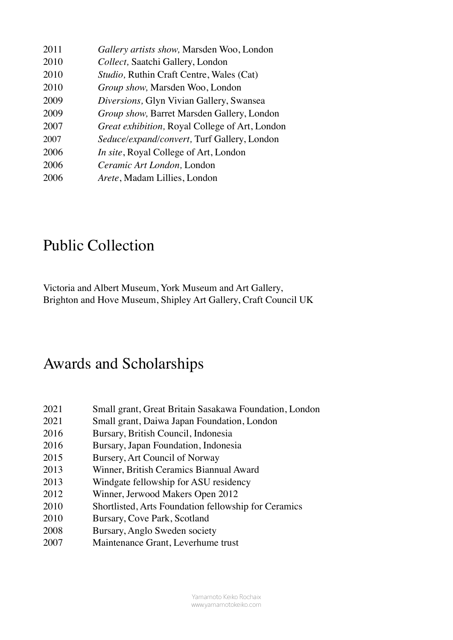| 2011 | Gallery artists show, Marsden Woo, London        |
|------|--------------------------------------------------|
| 2010 | Collect, Saatchi Gallery, London                 |
| 2010 | <i>Studio</i> , Ruthin Craft Centre, Wales (Cat) |
| 2010 | Group show, Marsden Woo, London                  |
| 2009 | Diversions, Glyn Vivian Gallery, Swansea         |
| 2009 | Group show, Barret Marsden Gallery, London       |
| 2007 | Great exhibition, Royal College of Art, London   |
| 2007 | Seduce/expand/convert, Turf Gallery, London      |
| 2006 | <i>In site</i> , Royal College of Art, London    |
| 2006 | Ceramic Art London, London                       |
| 2006 | Arete, Madam Lillies, London                     |

#### Public Collection

Victoria and Albert Museum, York Museum and Art Gallery, Brighton and Hove Museum, Shipley Art Gallery, Craft Council UK

#### Awards and Scholarships

- Small grant, Great Britain Sasakawa Foundation, London
- Small grant, Daiwa Japan Foundation, London
- 2016 Bursary, British Council, Indonesia
- 2016 Bursary, Japan Foundation, Indonesia
- 2015 Bursery, Art Council of Norway
- Winner, British Ceramics Biannual Award
- Windgate fellowship for ASU residency
- Winner, Jerwood Makers Open 2012
- Shortlisted, Arts Foundation fellowship for Ceramics
- 2010 Bursary, Cove Park, Scotland
- Bursary, Anglo Sweden society
- 2007 Maintenance Grant, Leverhume trust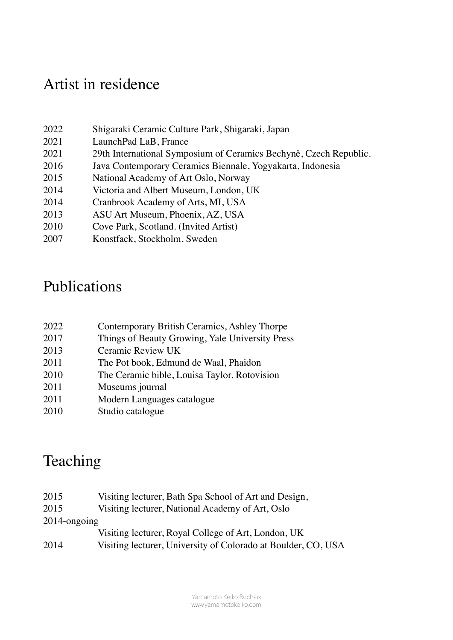## Artist in residence

| 2022 | Shigaraki Ceramic Culture Park, Shigaraki, Japan                  |
|------|-------------------------------------------------------------------|
| 2021 | LaunchPad LaB, France                                             |
| 2021 | 29th International Symposium of Ceramics Bechyně, Czech Republic. |
| 2016 | Java Contemporary Ceramics Biennale, Yogyakarta, Indonesia        |
| 2015 | National Academy of Art Oslo, Norway                              |
| 2014 | Victoria and Albert Museum, London, UK                            |
| 2014 | Cranbrook Academy of Arts, MI, USA                                |
| 2013 | ASU Art Museum, Phoenix, AZ, USA                                  |
| 2010 | Cove Park, Scotland. (Invited Artist)                             |
| 2007 | Konstfack, Stockholm, Sweden                                      |
|      |                                                                   |

## Publications

| 2022 | Contemporary British Ceramics, Ashley Thorpe    |
|------|-------------------------------------------------|
| 2017 | Things of Beauty Growing, Yale University Press |
| 2013 | Ceramic Review UK                               |
| 2011 | The Pot book, Edmund de Waal, Phaidon           |
| 2010 | The Ceramic bible, Louisa Taylor, Rotovision    |
| 2011 | Museums journal                                 |
| 2011 | Modern Languages catalogue                      |
| 2010 | Studio catalogue                                |

## Teaching

| 2015            | Visiting lecturer, Bath Spa School of Art and Design,         |
|-----------------|---------------------------------------------------------------|
| 2015            | Visiting lecturer, National Academy of Art, Oslo              |
| $2014$ -ongoing |                                                               |
|                 | Visiting lecturer, Royal College of Art, London, UK           |
| 2014            | Visiting lecturer, University of Colorado at Boulder, CO, USA |